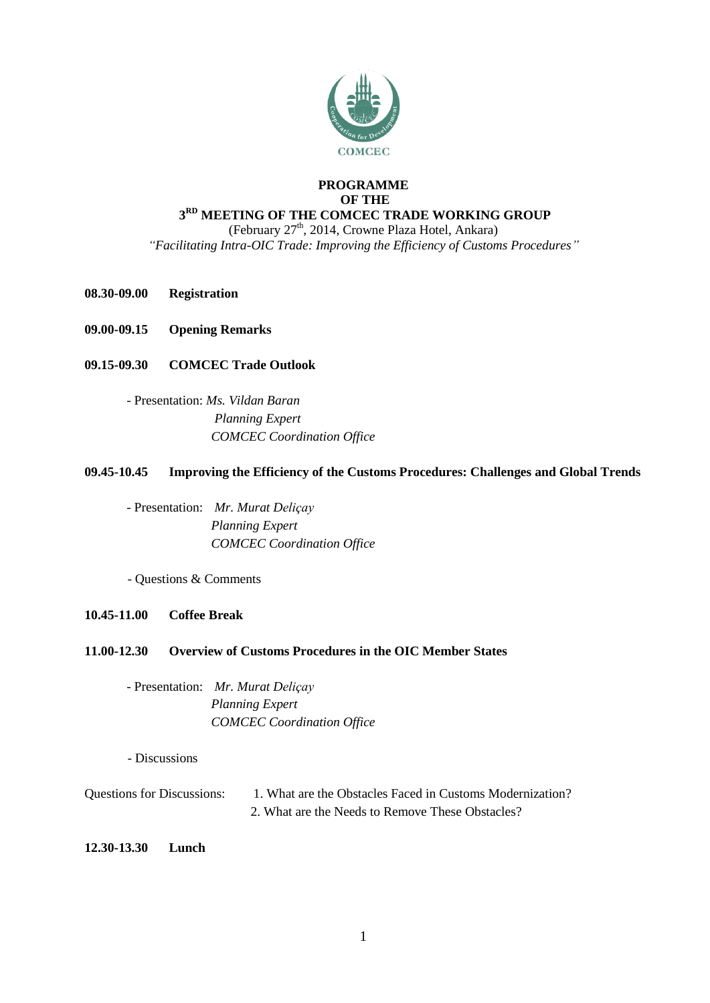

## **PROGRAMME OF THE 3 RD MEETING OF THE COMCEC TRADE WORKING GROUP**

(February 27<sup>th</sup>, 2014, Crowne Plaza Hotel, Ankara)

*"Facilitating Intra-OIC Trade: Improving the Efficiency of Customs Procedures"*

- **08.30-09.00 Registration**
- **09.00-09.15 Opening Remarks**
- **09.15-09.30 COMCEC Trade Outlook**
	- Presentation: *Ms. Vildan Baran Planning Expert COMCEC Coordination Office*

# **09.45-10.45 Improving the Efficiency of the Customs Procedures: Challenges and Global Trends**

- Presentation: *Mr. Murat Deliçay Planning Expert COMCEC Coordination Office*

- Questions & Comments

## **10.45-11.00 Coffee Break**

## **11.00-12.30 Overview of Customs Procedures in the OIC Member States**

- Presentation: *Mr. Murat Deliçay Planning Expert COMCEC Coordination Office*

- Discussions

Questions for Discussions: 1. What are the Obstacles Faced in Customs Modernization? 2. What are the Needs to Remove These Obstacles?

## **12.30-13.30 Lunch**